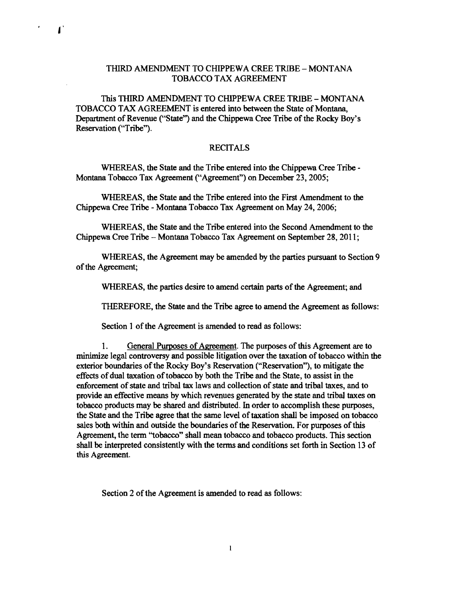## THIRD AMENDMENT TO CHIPPEWA CREE TRIBE - MONTANA TOBACCO TAX AGREEMENT

This THIRD AMENDMENT TO CHIPPEWA CREE TRIBE - MONTANA TOBACCO TAX AGREEMENT is entered into between the State of Montana, Department of Revenue ("State") and the Chippewa Cree Tribe of the Rocky Boy's Reservation ("Tribe").

 $\mathbf{I}$ 

## RECITALS

WHEREAS, the State and the Tribe entered into the Chippewa Cree Tribe-Montana Tobacco Tax Agreement ("Agreement") on December 23, 2005;

WHEREAS, the State and the Tribe entered into the First Amendment to the Chippewa Cree Tribe - Montana Tobacco Tax Agreement on May 24, 2006;

WHEREAS, the State and the Tribe entered into the Second Amendment to the Chippewa Cree Tribe - Montana Tobacco Tax Agreement on September 28, 2011;

WHEREAS, the Agreement may be amended by the parties pursuant to Section 9 of the Agreement;

WHEREAS, the parties desire to amend certain parts of the Agreement; and

THEREFORE, the State and the Tribe agree to amend the Agreement as follows:

Section 1 of the Agreement is amended to read as follows:

1. General Purposes of Agreement. The purposes of this Agreement are to minimize legal controversy and possible litigation over the taxation of tobacco within the exterior boundaries of the Rocky Boy's Reservation ("Reservation"), to mitigate the effects of dual taxation of tobacco by both the Tribe and the State, to assist in the enforcement of state and tribal tax laws and collection of state and tribal taxes, and to provide an effective means by which revenues generated by the state and tribal taxes on tobacco products may be shared and distributed. In order to accomplish these purposes, the State and the Tribe agree that the same level of taxation shall be imposed on tobacco sales both within and outside the boundaries of the Reservation. For purposes of this Agreement, the term "tobacco" shall mean tobacco and tobacco products. This section shall be interpreted consistently with the terms and conditions set forth in Section 13 of this Agreement.

Section 2 of the Agreement is amended to read as follows: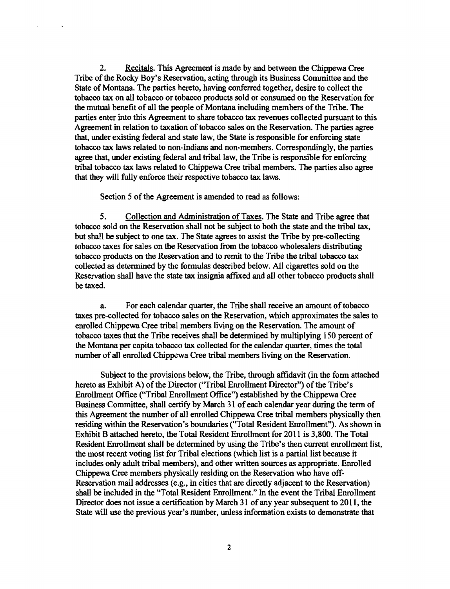2. Recitals. This Agreement is made by and between the Chippewa Cree Tribe of the Rocky Boy's Reservation, acting through its Business Committee and the State of Montana The parties hereto, having conferred together, desire to collect the tobacco tax on all tobacco or tobacco products sold or conswned on the Reservation for the mutual benefit of all the people of Montana including members of the Tribe. The parties enter into this Agreement to share tobacco tax revenues collected pursuant to this Agreement in relation to taxation of tobacco sales on the Reservation. The parties agree that, under existing federal and state law, the State is responsible for enforcing state tobacco tax laws related to non-Indians and non-members. Correspondingly, the parties agree that, under existing federal and tribal law, the Tribe is responsible for enforcing tribal tobacco tax laws related to Chippewa Cree tribal members. The parties also agree that they will fully enforce their respective tobacco tax laws.

Section 5 of the Agreement is amended to read as follows:

5. Collection and Administration of Taxes. The State and Tribe agree that tobacco sold on the Reservation shall not be subject to both the state and the tribal tax, but shall be subject to one tax. The State agrees to assist the Tribe by pre-collecting tobacco taxes for sales on the Reservation from the tobacco wholesalers distributing tobacco products on the Reservation and to remit to the Tribe the tribal tobacco tax collected as detennined by the fonnulas described below. All cigarettes sold on the Reservation shall have the state tax insignia affixed and all other tobacco products shall be taxed.

a. For each calendar quarter, the Tribe shall receive an amount of tobacco taxes pre-collected for tobacco sales on the Reservation, which approximates the sales to enrolled Chippewa Cree tribal members living on the Reservation. The amount of tobacco taxes that the Tribe receives shall be detenruned by multiplying 150 percent of the Montana per capita tobacco tax collected for the calendar quarter, times the total number of all enrolled Chippewa Cree tribal members living on the Reservation.

Subject to the provisions below, the Tribe, through affidavit (in the fonn attached hereto as Exhibit A) of the Director ("Tribal Enrollment Director") of the Tribe's Enrollment Office ("Tribal Enrollment Office") established by the Chippewa Cree Business Committee, shall certify by March 31 of each calendar year during the term of this Agreement the number of all enrolled Chippewa Cree tribal members physically then residing within the Reservation's boundaries ("Total Resident Enrollment"). As shown in Exhibit B attached hereto, the Total Resident Enrollment for 2011 is 3,800. The Total Resident Enrollment shall be determined by using the Tribe's then current enrollment list, the most recent voting list for Tribal elections (which list is a partial list because it includes only adult tribal members), and other written sources as appropriate. Enrolled Chippewa Cree members physically residing on the Reservation who have off-Reservation mail addresses (e.g., in cities that are directly adjacent to the Reservation) shall be included in the "Total Resident Enrollment." In the event the Tribal Enrollment Director does not issue a certification by March 31 of any year subsequent to 2011, the State will use the previous year's number, unless information exists to demonstrate that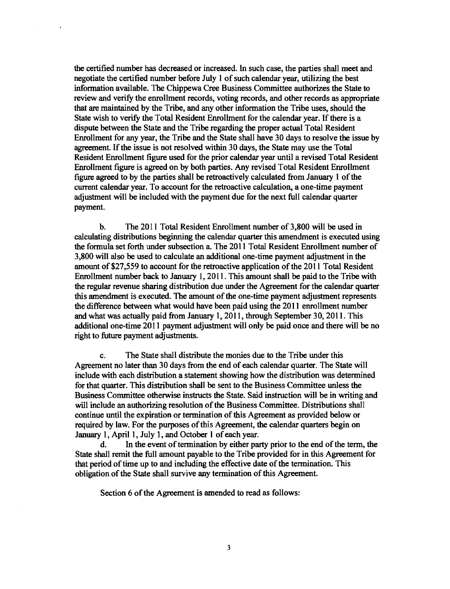the certified number has decreased or increased. In such case, the parties shall meet and negotiate the certified number before July 1 of such calendar year, utilizing the best information available. The Chippewa Cree Business Committee authorizes the State to review and verify the enrollment records, voting records, and other records as appropriate that are maintained by the Tribe, and any other information the Tribe uses, should the State wish to verify the Total Resident Enrollment for the calendar year. If there is a dispute between the State and the Tribe regarding the proper actual Total Resident Enrollment for any year, the Tribe and the State shall have 30 days to resolve the issue by agreement. If the issue is not resolved within 30 days, the State may use the Total Resident Enrollment figure used for the prior calendar year until a revised Total Resident Enrollment figure is agreed on by both parties. Any revised Total Resident Enrollment figure agreed to by the parties shall be retroactively calculated from January 1 of the current calendar year. To account for the retroactive calculation, a one-time payment adjustment will be included with the payment due for the next full calendar quarter payment.

 $\Delta$ 

b. The 2011 Total Resident Enrollment number of 3,800 will be used in calculating distributions beginning the calendar quarter this amendment is executed using the formula set forth under subsection a The 2011 Total Resident Enrollment number of 3,800 will also be used to calculate an additional one-time payment adjustment in the amount of \$27,559 to account for the retroactive application of the 2011 Total Resident Enrollment number back to January 1, 2011. This amount shall be paid to the Tribe with the regular revenue sharing distribution due under the Agreement for the calendar quarter this amendment is executed. The amount of the one-time payment adjustment represents the difference between what would have been paid using the 2011 enrollment number and what was actually paid from January 1,2011, through September 30,2011. This additional one-time 2011 payment adjustment will only be paid once and there will be no right to future payment adjustments.

c. The State shall distribute the monies due to the Tribe under this Agreement no later than 30 days from the end of each calendar quarter. The State will include with each distribution a statement showing how the distribution was determined for that quarter. This distribution shall be sent to the Business Committee unless the Business Committee otherwise instructs the State. Said instruction will be in writing and will include an authorizing resolution of the Business Committee. Distributions shall continue until the expiration or termination of this Agreement as provided below or required by law. For the purposes of this Agreement, the calendar quarters begin on January 1, April 1, July 1, and October 1 of each year.

d. In the event of termination by either party prior to the end of the term, the State shall remit the full amount payable to the Tribe provided for in this Agreement for that period of time up to and including the effective date of the termination. This obligation of the State shall survive any termination of this Agreement.

Section 6 of the Agreement is amended to read as follows: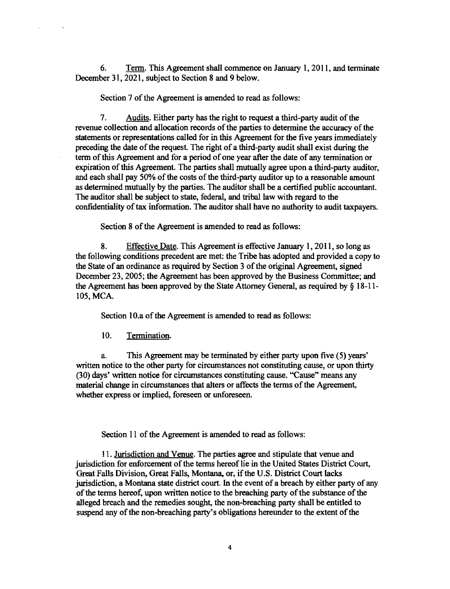6. Term. This Agreement shall commence on January 1,2011, and terminate December 31, 2021, subject to Section 8 and 9 below.

Section 7 of the Agreement is amended to read as follows:

7. Audits. Either party has the right to request a third-party audit of the revenue collection and allocation records of the parties to determine the accuracy of the statements or representations called for in this Agreement for the five years immediately preceding the date of the request. The right of a third-party audit shall exist during the term of this Agreement and for a period of one year after the date of any termination or expiration of this Agreement. The parties shall mutually agree upon a third-party auditor, and each shall pay 50% of the costs of the third-party auditor up to a reasonable amount as determined mutually by the parties. The auditor shall be a certified public accountant. The auditor shall be subject to state, federal, and tribal law with regard to the confidentiality of tax information. The auditor shall have no authority to audit taxpayers.

Section 8 of the Agreement is amended to read as follows:

8. Effective Date. This Agreement is effective January 1,2011, so long as the following conditions precedent are met: the Tribe has adopted and provided a copy to the State of an ordinance as required by Section 3 of the original Agreement, signed December 23,2005; the Agreement has been approved by the Business Committee; and the Agreement has been approved by the State Attorney General, as required by § 18-11 105, MCA.

Section 10.a of the Agreement is amended to read as follows:

10. Termination.

 $\overline{\phantom{a}}$ 

a. This Agreement may be terminated by either party upon five (5) years' written notice to the other party for circumstances not constituting cause, or upon thirty (30) days' written notice for circumstances constituting cause. "Cause" means any material change in circumstances that alters or affects the terms of the Agreement, whether express or implied, foreseen or unforeseen.

Section 11 of the Agreement is amended to read as follows:

11. Jurisdiction and Venue. The parties agree and stipulate that venue and jurisdiction for enforcement of the terms hereof lie in the United States District Court, Great Falls Division, Great Falls, Montana, or, if the U.S. District Court lacks jurisdiction, a Montana state district court. In the event of a breach by either party of any of the terms hereof, upon written notice to the breaching party of the substance of the alleged breach and the remedies sought, the non-breaching party shall be entitled to suspend any of the non-breaching party's obligations hereunder to the extent of the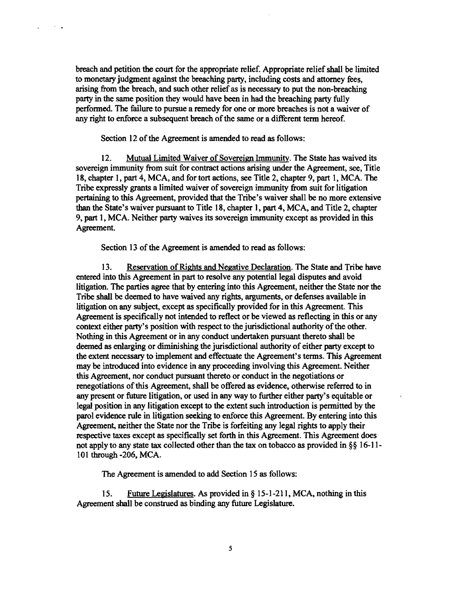breach and petition the court for the appropriate relief. Appropriate relief shall be limited to monetary judgment against the breaching party, including costs and attorney fees, arising from the breach, and such other relief as is necessary to put the non.breaching party in the same position they would have been in had the breaching party fully performed. The failure to pursue a remedy for one or more breaches is not a waiver of any right to enforce a subsequent breach of the same or a different term hereof.

Section 12 of the Agreement is amended to read as follows:

 $\sim 10^{11}$  k

 $\mathbf{v}$ 

12. Mutual Limited Waiver of Sovereign Immunity. The State has waived its sovereign immunity from suit for contract actions arising under the Agreement, see, Title 18, chapter 1, part 4, MCA, and for tort actions, see Title 2, chapter 9, part 1, MCA. The Tribe expressly grants a limited waiver of sovereign immunity from suit for litigation pertaining to this Agreement, provided that the Tribe's waiver shall be no more extensive than the State's waiver pursuant to Title 18, chapter 1, part 4, MCA, and Title 2, chapter 9, part 1, MCA. Neither party waives its sovereign immunity except as provided in this Agreement.

Section 13 of the Agreement is amended to read as follows:

13. Reservation of Rights and Negative Declaration. The State and Tribe have entered into this Agreement in part to resolve any potential legal disputes and avoid litigation. The parties agree that by entering into this Agreement, neither the State nor the Tribe shall be deemed to have waived any rights, arguments, or defenses available in litigation on any subject, except as specifically provided for in this Agreement. This Agreement is specifically not intended to reflect or be viewed as reflecting in this or any context either party's position with respect to the jurisdictional authority of the other. Nothing in this Agreement or in any conduct undertaken pursuant thereto shall be deemed as enlarging or diminishing the jurisdictional authority of either party except to the extent necessary to implement and effectuate the Agreement's terms. This Agreement may be introduced into evidence in any proceeding involving this Agreement. Neither this Agreement, nor conduct pursuant thereto or conduct in the negotiations or renegotiations of this Agreement, shall be offered as evidence, otherwise referred to in any present or future litigation, or used in any way to further either party's equitable or legal position in any litigation except to the extent such introduction is permitted by the parol evidence rule in litigation seeking to enforce this Agreement. By entering into this Agreement, neither the State nor the Tribe is forfeiting any legal rights to apply their respective taxes except as specifically set forth in this Agreement. This Agreement does not apply to any state tax collected other than the tax on tobacco as provided in §§ 16-11-101 through -206, MCA.

The Agreement is amended to add Section 15 as follows:

15. Future Legislatures. As provided in § 15-1-211, MCA, nothing in this Agreement shall be construed as binding any future Legislature.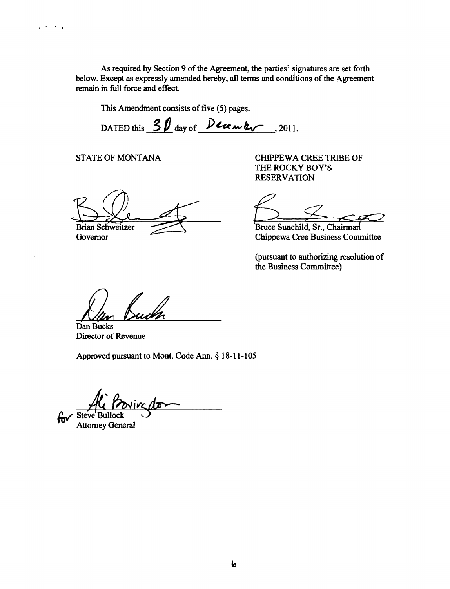As required by Section 9 of the Agreement, the parties' signatures are set forth below. Except as expressly amended hereby, all terms and conditions of the Agreement remain in full force and effect.

This Amendment consists of five (5) pages.

DATED this  $30$  day of  $Decen$  hv, 2011.

Brian Schweitzer

 $\mathcal{L}^{\mathcal{A}}\leftarrow\mathcal{L}^{\mathcal{A}}$ 

STATE OF MONTANA CHIPPEWA CREE TRIBE OF THE ROCKY BOY'S RESERVATION

Bruce Sunchild, Sr., Chairman

Governor Chippewa Cree Business Committee

(pursuant to authorizing resolution of the Business Committee)

Dan Buch

Dan Bucks Director of Revenue

Approved pursuant to Mont. Code Ann. § 18-11-105

for steve Bullock Start

Attorney General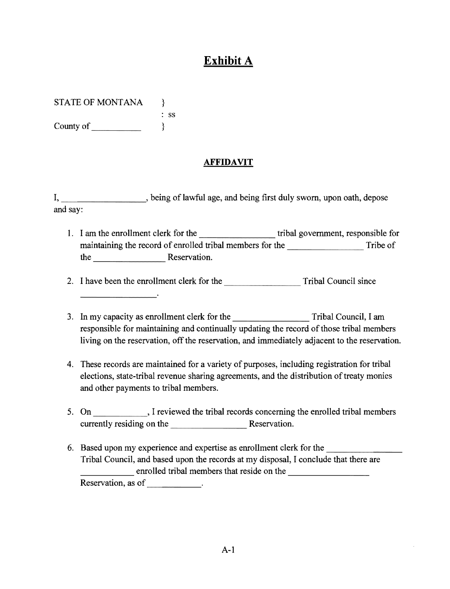## **Exhibit A**

STATE OF MONTANA  $\qquad$ 

: ss County of  $\qquad$  }

## **AFFIDAVIT**

I, being of lawful age, and being first duly sworn, upon oath, depose and say:

1. I am the enrollment clerk for the tribal government, responsible for maintaining the record of enrolled tribal members for the Tribe of the Reservation.

-------- 2. I have been the enrollment clerk for the Tribal Council since

- 3. In my capacity as enrollment clerk for the Tribal Council, I am responsible for maintaining and continually updating the record of those tribal members living on the reservation, off the reservation, and immediately adjacent to the reservation.
- 4. These records are maintained for a variety of purposes, including registration for tribal elections, state-tribal revenue sharing agreements, and the distribution of treaty monies and other payments to tribal members.
- 5. On \_\_\_\_\_\_\_\_\_\_\_\_, I reviewed the tribal records concerning the enrolled tribal members currently residing on the Reservation.
- Fribal Council, and based upon the records at my disposal, I conclude that there<br>enrolled tribal members that reside on the 6. Based upon my experience and expertise as enrollment clerk for the Tribal Council, and based upon the records at my disposal, I conclude that there are enrolled tribal members that reside on the emoned the method.